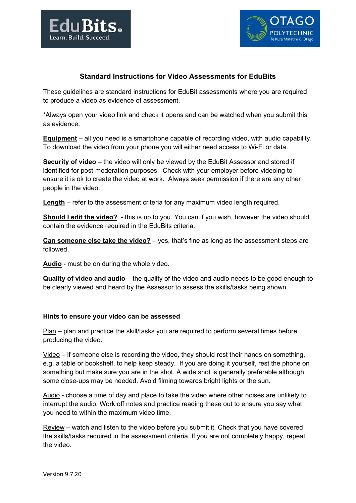



# **Standard Instructions for Video Assessments for EduBits**

These guidelines are standard instructions for EduBit assessments where you are required to produce a video as evidence of assessment.

\*Always open your video link and check it opens and can be watched when you submit this as evidence.

**Equipment** – all you need is a smartphone capable of recording video, with audio capability. To download the video from your phone you will either need access to Wi-Fi or data.

**Security of video** – the video will only be viewed by the EduBit Assessor and stored if identified for post-moderation purposes. Check with your employer before videoing to ensure it is ok to create the video at work. Always seek permission if there are any other people in the video.

**Length** – refer to the assessment criteria for any maximum video length required.

**Should I edit the video?** - this is up to you. You can if you wish, however the video should contain the evidence required in the EduBits criteria.

**Can someone else take the video?** – yes, that's fine as long as the assessment steps are followed.

**Audio** - must be on during the whole video.

**Quality of video and audio** – the quality of the video and audio needs to be good enough to be clearly viewed and heard by the Assessor to assess the skills/tasks being shown.

### **Hints to ensure your video can be assessed**

Plan – plan and practice the skill/tasks you are required to perform several times before producing the video.

Video – if someone else is recording the video, they should rest their hands on something, e.g. a table or bookshelf, to help keep steady. If you are doing it yourself, rest the phone on something but make sure you are in the shot. A wide shot is generally preferable although some close-ups may be needed. Avoid filming towards bright lights or the sun.

Audio - choose a time of day and place to take the video where other noises are unlikely to interrupt the audio. Work off notes and practice reading these out to ensure you say what you need to within the maximum video time.

Review – watch and listen to the video before you submit it. Check that you have covered the skills/tasks required in the assessment criteria. If you are not completely happy, repeat the video.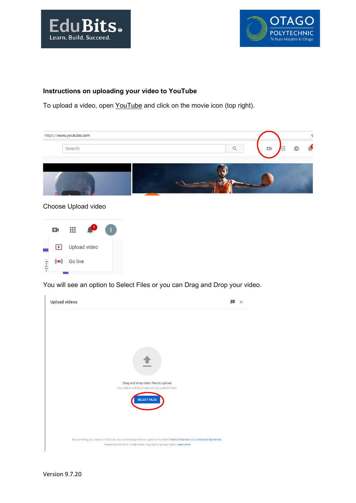



## **Instructions on uploading your video to YouTube**

To upload a video, open [YouTube](https://www.youtube.com/) and click on the movie icon (top right).





You will see an option to Select Files or you can Drag and Drop your video.

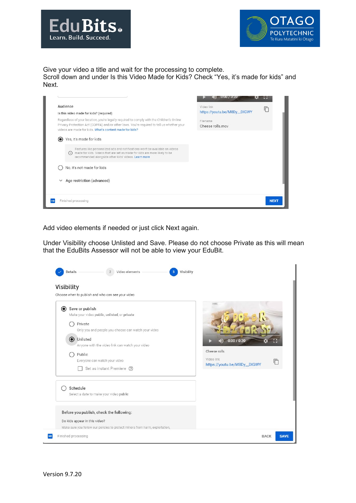



Give your video a title and wait for the processing to complete.

Scroll down and under Is this Video Made for Kids? Check "Yes, it's made for kids" and Next.



Add video elements if needed or just click Next again.

Under Visibility choose Unlisted and Save. Please do not choose Private as this will mean that the EduBits Assessor will not be able to view your EduBit.

| Save or publish<br>$\odot$<br>Make your video public, unlisted, or private<br>Private<br>Only you and people you choose can watch your video<br>O Unlisted<br>Anyone with the video link can watch your video<br>Public<br>Everyone can watch your video | 0:00/0:20<br>Cheese rolls<br>Video link<br>IП<br>https://youtu.be/M8Dy_DIGWY |
|----------------------------------------------------------------------------------------------------------------------------------------------------------------------------------------------------------------------------------------------------------|------------------------------------------------------------------------------|
| Set as instant Premiere (?)<br>Schedule<br>Select a date to make your video public<br>Before you publish, check the following:<br>Do kids appear in this video?                                                                                          |                                                                              |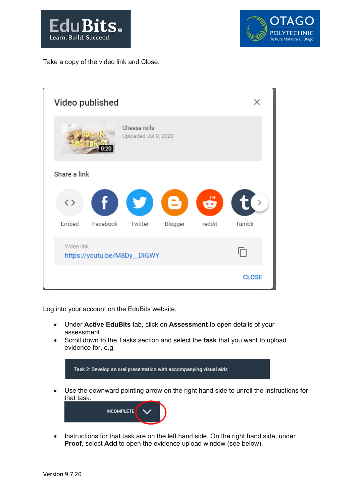



Take a copy of the video link and Close.

| Video published                            |                                      |         |        |               |  |
|--------------------------------------------|--------------------------------------|---------|--------|---------------|--|
|                                            | Cheese rolls<br>Uploaded Jul 9, 2020 |         |        |               |  |
| Share a link                               |                                      |         |        |               |  |
| $\langle \ \rangle$                        | f y e d t                            |         |        | $\rightarrow$ |  |
| Embed<br>Facebook                          | Twitter                              | Blogger | reddit | Tumblr        |  |
| Video link<br>https://youtu.be/M8Dy__DIGWY |                                      |         |        | 冋             |  |
|                                            |                                      |         |        | <b>CLOSE</b>  |  |

Log into your account on the EduBits website.

- Under **Active EduBits** tab, click on **Assessment** to open details of your assessment.
- Scroll down to the Tasks section and select the **task** that you want to upload evidence for, e.g.



• Instructions for that task are on the left hand side. On the right hand side, under **Proof**, select **Add** to open the evidence upload window (see below).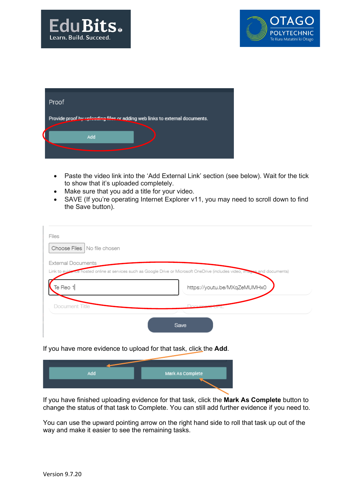



| Proof                                                                       |  |
|-----------------------------------------------------------------------------|--|
| Provide proof by uploading files or adding web links to external documents. |  |
| Add                                                                         |  |
|                                                                             |  |

- Paste the video link into the 'Add External Link' section (see below). Wait for the tick to show that it's uploaded completely.
- Make sure that you add a title for your video.
- SAVE (If you're operating Internet Explorer v11, you may need to scroll down to find the Save button).

| Files<br>Choose Files   No file chosen |                                                                                                                              |
|----------------------------------------|------------------------------------------------------------------------------------------------------------------------------|
| <b>External Documents</b>              | Link to evidence hosted online at services such as Google Drive or Microsoft OneDrive (includes video, images and documents) |
|                                        |                                                                                                                              |
| Te Reo 1                               | https://youtu.be/MXqZeMUMHx0                                                                                                 |

### If you have more evidence to upload for that task, click the **Add**.

| Add | Mark As Complete |
|-----|------------------|
|     |                  |
|     |                  |

If you have finished uploading evidence for that task, click the **Mark As Complete** button to change the status of that task to Complete. You can still add further evidence if you need to.

You can use the upward pointing arrow on the right hand side to roll that task up out of the way and make it easier to see the remaining tasks.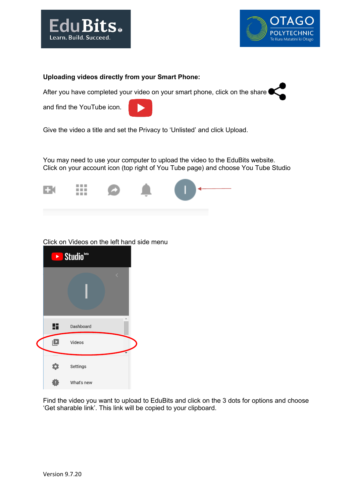



#### **Uploading videos directly from your Smart Phone:**

After you have completed your video on your smart phone, click on the share

and find the YouTube icon.



Give the video a title and set the Privacy to 'Unlisted' and click Upload.

You may need to use your computer to upload the video to the EduBits website. Click on your account icon (top right of You Tube page) and choose You Tube Studio



### Click on Videos on the left hand side menu



Find the video you want to upload to EduBits and click on the 3 dots for options and choose 'Get sharable link'. This link will be copied to your clipboard.